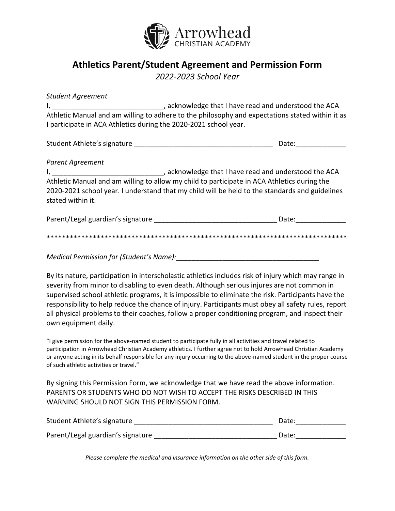

## **Athletics Parent/Student Agreement and Permission Form**

*2022-2023 School Year*

| <b>Student Agreement</b>                                         |                                                                                            |                                                                                                                                                                                                                                |  |  |  |
|------------------------------------------------------------------|--------------------------------------------------------------------------------------------|--------------------------------------------------------------------------------------------------------------------------------------------------------------------------------------------------------------------------------|--|--|--|
|                                                                  | I, __________________________________, acknowledge that I have read and understood the ACA |                                                                                                                                                                                                                                |  |  |  |
|                                                                  |                                                                                            | Athletic Manual and am willing to adhere to the philosophy and expectations stated within it as                                                                                                                                |  |  |  |
| I participate in ACA Athletics during the 2020-2021 school year. |                                                                                            |                                                                                                                                                                                                                                |  |  |  |
|                                                                  |                                                                                            | Date: the contract of the contract of the contract of the contract of the contract of the contract of the contract of the contract of the contract of the contract of the contract of the contract of the contract of the cont |  |  |  |
| Parent Agreement                                                 |                                                                                            |                                                                                                                                                                                                                                |  |  |  |
|                                                                  |                                                                                            | I, ___________________________________, acknowledge that I have read and understood the ACA                                                                                                                                    |  |  |  |
|                                                                  |                                                                                            | Athletic Manual and am willing to allow my child to participate in ACA Athletics during the                                                                                                                                    |  |  |  |
| stated within it.                                                |                                                                                            | 2020-2021 school year. I understand that my child will be held to the standards and guidelines                                                                                                                                 |  |  |  |
|                                                                  |                                                                                            | Date: ________                                                                                                                                                                                                                 |  |  |  |
|                                                                  |                                                                                            |                                                                                                                                                                                                                                |  |  |  |
| Medical Permission for (Student's Name):                         |                                                                                            |                                                                                                                                                                                                                                |  |  |  |

By its nature, participation in interscholastic athletics includes risk of injury which may range in severity from minor to disabling to even death. Although serious injures are not common in supervised school athletic programs, it is impossible to eliminate the risk. Participants have the responsibility to help reduce the chance of injury. Participants must obey all safety rules, report all physical problems to their coaches, follow a proper conditioning program, and inspect their own equipment daily.

"I give permission for the above-named student to participate fully in all activities and travel related to participation in Arrowhead Christian Academy athletics. I further agree not to hold Arrowhead Christian Academy or anyone acting in its behalf responsible for any injury occurring to the above-named student in the proper course of such athletic activities or travel."

By signing this Permission Form, we acknowledge that we have read the above information. PARENTS OR STUDENTS WHO DO NOT WISH TO ACCEPT THE RISKS DESCRIBED IN THIS WARNING SHOULD NOT SIGN THIS PERMISSION FORM.

| Student Athlete's signature       | Date: |
|-----------------------------------|-------|
| Parent/Legal guardian's signature | Date: |

*Please complete the medical and insurance information on the other side of this form.*